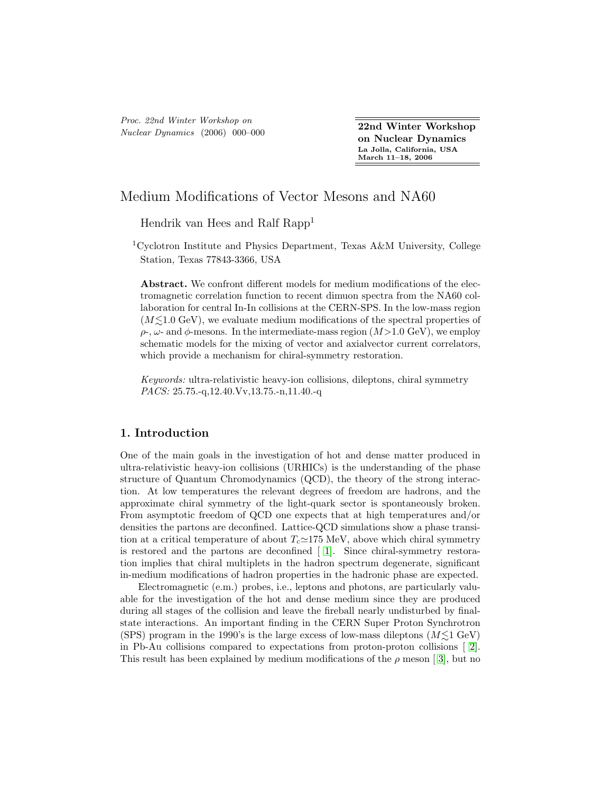Proc. 22nd Winter Workshop on Nuclear Dynamics (2006) 000–000 22nd Winter Workshop

on Nuclear Dynamics La Jolla, California, USA March 11–18, 2006

# Medium Modifications of Vector Mesons and NA60

Hendrik van Hees and Ralf Rapp<sup>1</sup>

<sup>1</sup>Cyclotron Institute and Physics Department, Texas A&M University, College Station, Texas 77843-3366, USA

Abstract. We confront different models for medium modifications of the electromagnetic correlation function to recent dimuon spectra from the NA60 collaboration for central In-In collisions at the CERN-SPS. In the low-mass region  $(M \leq 1.0 \text{ GeV})$ , we evaluate medium modifications of the spectral properties of  $\rho$ -,  $\omega$ - and  $\phi$ -mesons. In the intermediate-mass region  $(M>1.0 \text{ GeV})$ , we employ schematic models for the mixing of vector and axialvector current correlators, which provide a mechanism for chiral-symmetry restoration.

Keywords: ultra-relativistic heavy-ion collisions, dileptons, chiral symmetry PACS: 25.75.-q,12.40.Vv,13.75.-n,11.40.-q

#### 1. Introduction

One of the main goals in the investigation of hot and dense matter produced in ultra-relativistic heavy-ion collisions (URHICs) is the understanding of the phase structure of Quantum Chromodynamics (QCD), the theory of the strong interaction. At low temperatures the relevant degrees of freedom are hadrons, and the approximate chiral symmetry of the light-quark sector is spontaneously broken. From asymptotic freedom of QCD one expects that at high temperatures and/or densities the partons are deconfined. Lattice-QCD simulations show a phase transition at a critical temperature of about  $T_c\simeq 175$  MeV, above which chiral symmetry is restored and the partons are deconfined[ [1\]](#page-7-0). Since chiral-symmetry restoration implies that chiral multiplets in the hadron spectrum degenerate, significant in-medium modifications of hadron properties in the hadronic phase are expected.

Electromagnetic (e.m.) probes, i.e., leptons and photons, are particularly valuable for the investigation of the hot and dense medium since they are produced during all stages of the collision and leave the fireball nearly undisturbed by finalstate interactions. An important finding in the CERN Super Proton Synchrotron (SPS) program in the 1990's is the large excess of low-mass dileptons  $(M \leq 1 \text{ GeV})$ in Pb-Au collisions compared to expectations from proton-proton collisions [ [2\]](#page-7-1). Thisresult has been explained by medium modifications of the  $\rho$  meson [3], but no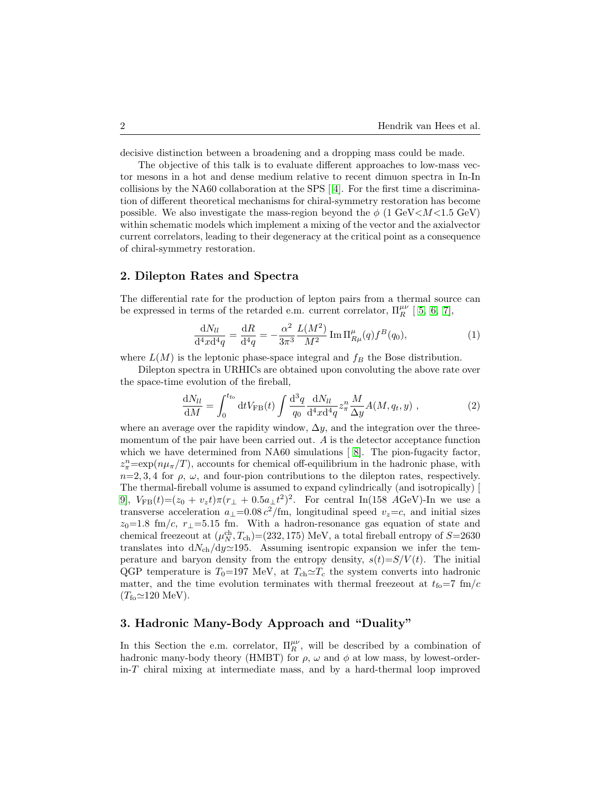decisive distinction between a broadening and a dropping mass could be made.

The objective of this talk is to evaluate different approaches to low-mass vector mesons in a hot and dense medium relative to recent dimuon spectra in In-In collisions by the NA60 collaboration at the SPS[ [4\]](#page-7-3). For the first time a discrimination of different theoretical mechanisms for chiral-symmetry restoration has become possible. We also investigate the mass-region beyond the  $\phi$  (1 GeV < M < 1.5 GeV) within schematic models which implement a mixing of the vector and the axialvector current correlators, leading to their degeneracy at the critical point as a consequence of chiral-symmetry restoration.

#### 2. Dilepton Rates and Spectra

The differential rate for the production of lepton pairs from a thermal source can be expressed in terms of the retarded e.m. current correlator,  $\Pi_R^{\mu\nu}$  [5, [6,](#page-7-5) [7\]](#page-7-6),

$$
\frac{dN_{ll}}{d^4x d^4q} = \frac{dR}{d^4q} = -\frac{\alpha^2}{3\pi^3} \frac{L(M^2)}{M^2} \operatorname{Im} \Pi_{R\mu}^{\mu}(q) f^B(q_0),\tag{1}
$$

where  $L(M)$  is the leptonic phase-space integral and  $f_B$  the Bose distribution.

Dilepton spectra in URHICs are obtained upon convoluting the above rate over the space-time evolution of the fireball,

$$
\frac{\mathrm{d}N_{ll}}{\mathrm{d}M} = \int_0^{t_{\rm fo}} \mathrm{d}t V_{\rm FB}(t) \int \frac{\mathrm{d}^3 q}{q_0} \frac{\mathrm{d}N_{ll}}{\mathrm{d}^4 x \mathrm{d}^4 q} z_\pi^n \frac{M}{\Delta y} A(M, q_t, y) ,\qquad (2)
$$

where an average over the rapidity window,  $\Delta y$ , and the integration over the threemomentum of the pair have been carried out. A is the detector acceptance function whichwe have determined from  $N\rightarrow 60$  simulations [8]. The pion-fugacity factor,  $z_{\pi}^{n} = \exp(n\mu_{\pi}/T)$ , accounts for chemical off-equilibrium in the hadronic phase, with  $n=2, 3, 4$  for  $\rho$ ,  $\omega$ , and four-pion contributions to the dilepton rates, respectively. The thermal-fireball volume is assumed to expand cylindrically (and isotropically) [ [9\]](#page-7-8),  $V_{FB}(t)=(z_0 + v_z t)\pi (r_{\perp} + 0.5a_{\perp}t^2)^2$ . For central In(158 AGeV)-In we use a transverse acceleration  $a_{\perp}$ =0.08  $c^2$ /fm, longitudinal speed  $v_z$ =c, and initial sizes  $z_0=1.8$  fm/c,  $r_\perp=5.15$  fm. With a hadron-resonance gas equation of state and chemical freezeout at  $(\mu_N^{\text{ch}}, T_{\text{ch}})$  = (232, 175) MeV, a total fireball entropy of  $S$ =2630 translates into  $dN_{ch}/dy \approx 195$ . Assuming isentropic expansion we infer the temperature and baryon density from the entropy density,  $s(t)=S/V(t)$ . The initial QGP temperature is  $T_0=197$  MeV, at  $T_{ch} \simeq T_c$  the system converts into hadronic matter, and the time evolution terminates with thermal freezeout at  $t_{\text{fo}}=7 \text{ fm}/c$  $(T_{\text{fo}} \approx 120 \text{ MeV}).$ 

### 3. Hadronic Many-Body Approach and "Duality"

In this Section the e.m. correlator,  $\Pi_R^{\mu\nu}$ , will be described by a combination of hadronic many-body theory (HMBT) for  $\rho$ ,  $\omega$  and  $\phi$  at low mass, by lowest-orderin-T chiral mixing at intermediate mass, and by a hard-thermal loop improved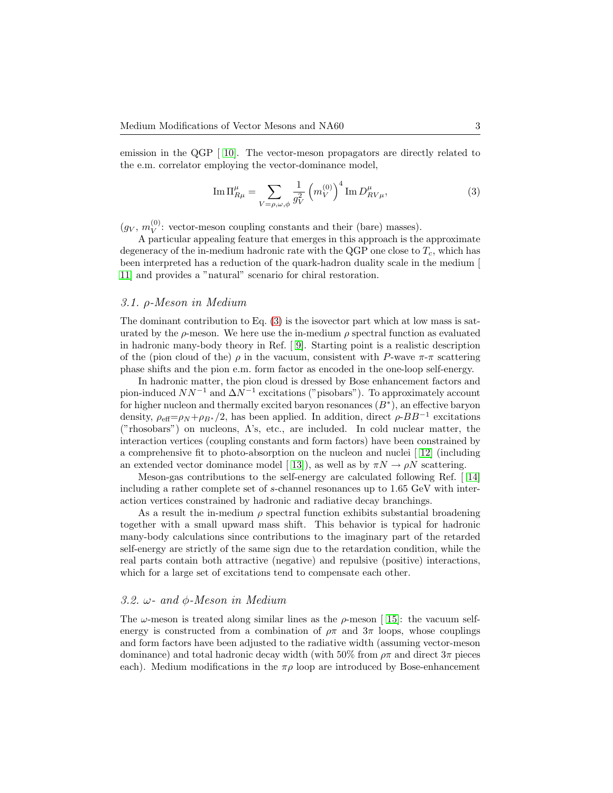emissionin the QGP [10]. The vector-meson propagators are directly related to the e.m. correlator employing the vector-dominance model,

<span id="page-2-0"></span>
$$
\operatorname{Im} \Pi_{R\mu}^{\mu} = \sum_{V=\rho,\omega,\phi} \frac{1}{g_V^2} \left( m_V^{(0)} \right)^4 \operatorname{Im} D_{RV\mu}^{\mu},\tag{3}
$$

 $(g_V, m_V^{(0)}:$  vector-meson coupling constants and their (bare) masses).

A particular appealing feature that emerges in this approach is the approximate degeneracy of the in-medium hadronic rate with the QGP one close to  $T_c$ , which has been interpreted has a reduction of the quark-hadron duality scale in the medium [ [11\]](#page-7-10) and provides a "natural" scenario for chiral restoration.

# 3.1. ρ-Meson in Medium

The dominant contribution to Eq.  $(3)$  is the isovector part which at low mass is saturated by the  $\rho$ -meson. We here use the in-medium  $\rho$  spectral function as evaluated in hadronic many-body theory in Ref.[ [9\]](#page-7-8). Starting point is a realistic description of the (pion cloud of the)  $\rho$  in the vacuum, consistent with P-wave  $\pi$ - $\pi$  scattering phase shifts and the pion e.m. form factor as encoded in the one-loop self-energy.

In hadronic matter, the pion cloud is dressed by Bose enhancement factors and pion-induced  $NN^{-1}$  and  $\Delta N^{-1}$  excitations ("pisobars"). To approximately account for higher nucleon and thermally excited baryon resonances  $(B^*)$ , an effective baryon density,  $\rho_{\text{eff}} = \rho_N + \rho_{B^*}/2$ , has been applied. In addition, direct  $\rho$ -BB<sup>-1</sup> excitations ("rhosobars") on nucleons,  $\Lambda$ 's, etc., are included. In cold nuclear matter, the interaction vertices (coupling constants and form factors) have been constrained by a comprehensive fit to photo-absorption on the nucleon and nuclei[ [12\]](#page-7-11) (including anextended vector dominance model [13]), as well as by  $\pi N \to \rho N$  scattering.

Meson-gas contributions to the self-energy are calculated following Ref.[ [14\]](#page-7-13) including a rather complete set of s-channel resonances up to 1.65 GeV with interaction vertices constrained by hadronic and radiative decay branchings.

As a result the in-medium  $\rho$  spectral function exhibits substantial broadening together with a small upward mass shift. This behavior is typical for hadronic many-body calculations since contributions to the imaginary part of the retarded self-energy are strictly of the same sign due to the retardation condition, while the real parts contain both attractive (negative) and repulsive (positive) interactions, which for a large set of excitations tend to compensate each other.

### 3.2.  $\omega$ - and  $\phi$ -Meson in Medium

The $\omega$ -meson is treated along similar lines as the  $\rho$ -meson [ [15\]](#page-7-14): the vacuum selfenergy is constructed from a combination of  $\rho \pi$  and  $3\pi$  loops, whose couplings and form factors have been adjusted to the radiative width (assuming vector-meson dominance) and total hadronic decay width (with 50% from  $\rho\pi$  and direct  $3\pi$  pieces each). Medium modifications in the  $\pi \rho$  loop are introduced by Bose-enhancement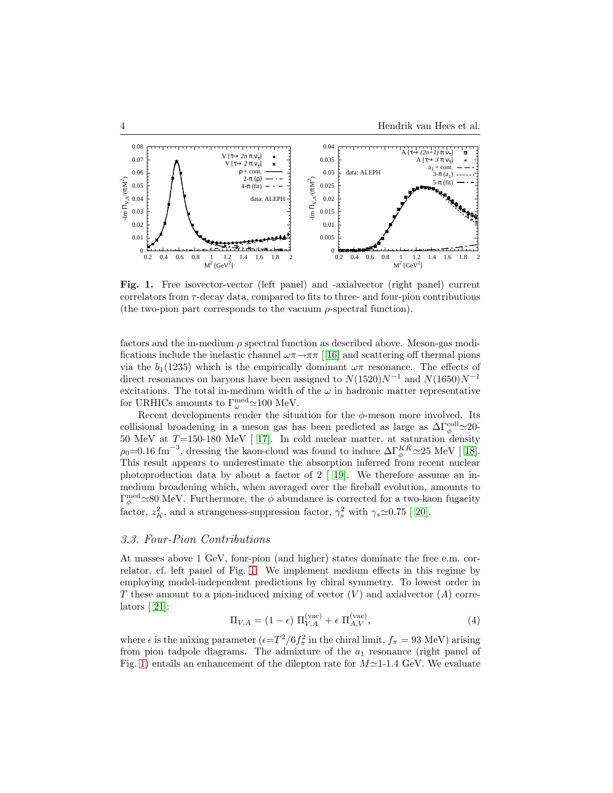

<span id="page-3-0"></span>Fig. 1. Free isovector-vector (left panel) and -axialvector (right panel) current correlators from  $\tau$ -decay data, compared to fits to three- and four-pion contributions (the two-pion part corresponds to the vacuum  $\rho$ -spectral function).

factors and the in-medium  $\rho$  spectral function as described above. Meson-gas modifications include the inelastic channel  $\omega \pi \rightarrow \pi \pi$  [16] and scattering off thermal pions via the  $b_1(1235)$  which is the empirically dominant  $\omega\pi$  resonance. The effects of direct resonances on baryons have been assigned to  $N(1520)N^{-1}$  and  $N(1650)N^{-1}$ excitations. The total in-medium width of the  $\omega$  in hadronic matter representative for URHICs amounts to  $\Gamma_{\omega}^{\text{med}} \approx 100 \text{ MeV}.$ 

Recent developments render the situation for the  $\phi$ -meson more involved. Its collisional broadening in a meson gas has been predicted as large as  $\Delta\Gamma_\phi^{\text{coll}} \simeq 20$ -50MeV at T=150-180 MeV [ [17\]](#page-7-16). In cold nuclear matter, at saturation density  $\rho_0=0.16 \text{ fm}^{-3}$ , dressing the kaon-cloud was found to induce  $\Delta\Gamma_\phi^{K\bar{K}}\simeq$ 25 MeV [ [18\]](#page-7-17). This result appears to underestimate the absorption inferred from recent nuclear photoproductiondata by about a factor of  $2 \mid 19$ . We therefore assume an inmedium broadening which, when averaged over the fireball evolution, amounts to  $\Gamma_{\phi}^{\text{med}} \simeq 80 \text{ MeV}$ . Furthermore, the  $\phi$  abundance is corrected for a two-kaon fugacity factor, $z_K^2$ , and a strangeness-suppression factor,  $\gamma_s^2$  with  $\gamma_s \approx 0.75$  [ [20\]](#page-7-19).

#### <span id="page-3-1"></span>3.3. Four-Pion Contributions

At masses above 1 GeV, four-pion (and higher) states dominate the free e.m. correlator, cf. left panel of Fig. [1.](#page-3-0) We implement medium effects in this regime by employing model-independent predictions by chiral symmetry. To lowest order in T these amount to a pion-induced mixing of vector  $(V)$  and axialvector  $(A)$  correlators[ [21\]](#page-7-20):

$$
\Pi_{V,A} = (1 - \epsilon) \Pi_{V,A}^{(\text{vac})} + \epsilon \Pi_{A,V}^{(\text{vac})},\tag{4}
$$

where  $\epsilon$  is the mixing parameter  $(\epsilon = T^2/6f_\pi^2)$  in the chiral limit,  $f_\pi = 93$  MeV) arising from pion tadpole diagrams. The admixture of the  $a_1$  resonance (right panel of Fig. [1\)](#page-3-0) entails an enhancement of the dilepton rate for  $M\simeq 1-1.4$  GeV. We evaluate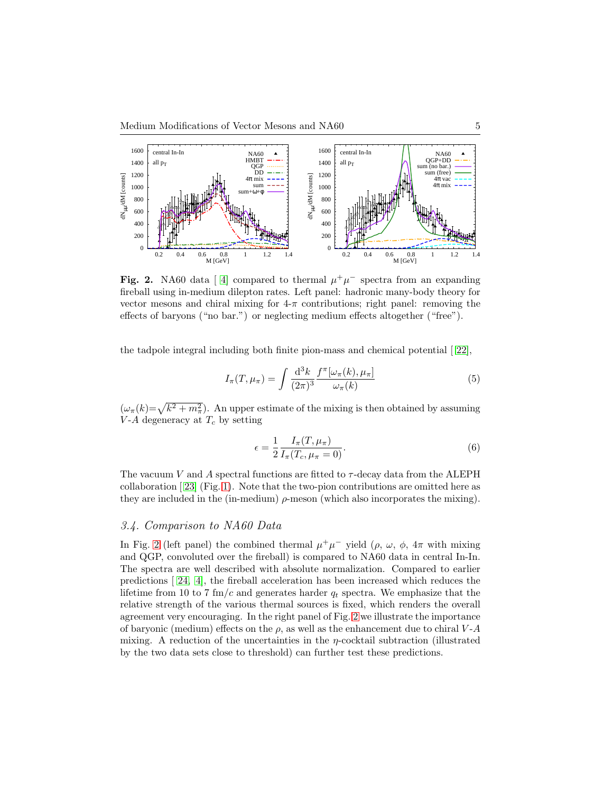

<span id="page-4-0"></span>Fig. 2. NA60 data [4] compared to thermal  $\mu^+\mu^-$  spectra from an expanding fireball using in-medium dilepton rates. Left panel: hadronic many-body theory for vector mesons and chiral mixing for  $4-\pi$  contributions; right panel: removing the effects of baryons ("no bar.") or neglecting medium effects altogether ("free").

the tadpole integral including both finite pion-mass and chemical potential[ [22\]](#page-7-21),

$$
I_{\pi}(T,\mu_{\pi}) = \int \frac{\mathrm{d}^3 k}{(2\pi)^3} \frac{f^{\pi}[\omega_{\pi}(k),\mu_{\pi}]}{\omega_{\pi}(k)}\tag{5}
$$

 $(\omega_{\pi}(k)=\sqrt{k^2+m_{\pi}^2})$ . An upper estimate of the mixing is then obtained by assuming  $V-A$  degeneracy at  $T_c$  by setting

$$
\epsilon = \frac{1}{2} \frac{I_{\pi}(T, \mu_{\pi})}{I_{\pi}(T_c, \mu_{\pi} = 0)}.
$$
\n(6)

The vacuum V and A spectral functions are fitted to  $\tau$ -decay data from the ALEPH collaboration[ [23\]](#page-7-22) (Fig. [1\)](#page-3-0). Note that the two-pion contributions are omitted here as they are included in the (in-medium)  $\rho$ -meson (which also incorporates the mixing).

#### 3.4. Comparison to NA60 Data

In Fig. [2](#page-4-0) (left panel) the combined thermal  $\mu^+\mu^-$  yield  $(\rho, \omega, \phi, 4\pi$  with mixing and QGP, convoluted over the fireball) is compared to NA60 data in central In-In. The spectra are well described with absolute normalization. Compared to earlier predictions[ [24,](#page-7-23) [4\]](#page-7-3), the fireball acceleration has been increased which reduces the lifetime from 10 to 7 fm/c and generates harder  $q_t$  spectra. We emphasize that the relative strength of the various thermal sources is fixed, which renders the overall agreement very encouraging. In the right panel of Fig. [2](#page-4-0) we illustrate the importance of baryonic (medium) effects on the  $\rho$ , as well as the enhancement due to chiral V-A mixing. A reduction of the uncertainties in the  $\eta$ -cocktail subtraction (illustrated by the two data sets close to threshold) can further test these predictions.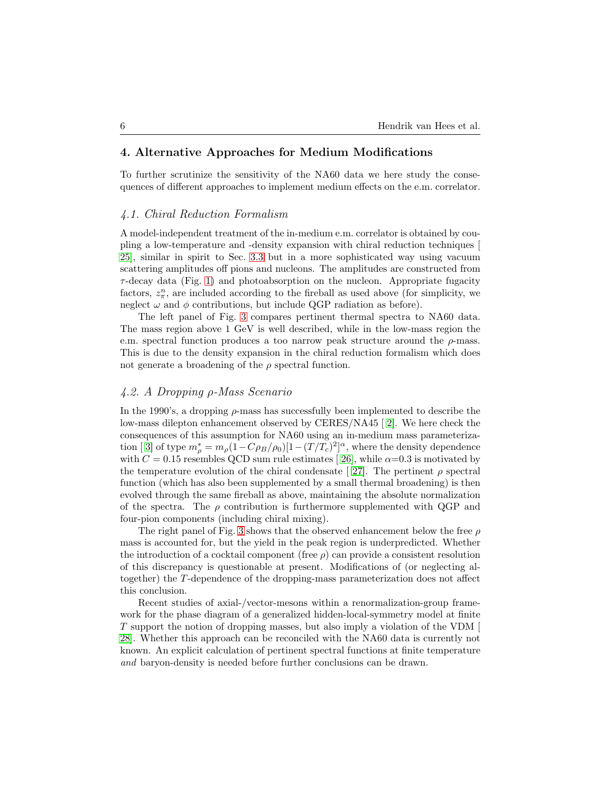### 4. Alternative Approaches for Medium Modifications

To further scrutinize the sensitivity of the NA60 data we here study the consequences of different approaches to implement medium effects on the e.m. correlator.

#### 4.1. Chiral Reduction Formalism

A model-independent treatment of the in-medium e.m. correlator is obtained by coupling a low-temperature and -density expansion with chiral reduction techniques [ [25\]](#page-7-24), similar in spirit to Sec. [3.3](#page-3-1) but in a more sophisticated way using vacuum scattering amplitudes off pions and nucleons. The amplitudes are constructed from  $\tau$ -decay data (Fig. [1\)](#page-3-0) and photoabsorption on the nucleon. Appropriate fugacity factors,  $z_{\pi}^{n}$ , are included according to the fireball as used above (for simplicity, we neglect  $\omega$  and  $\phi$  contributions, but include QGP radiation as before).

The left panel of Fig. [3](#page-6-0) compares pertinent thermal spectra to NA60 data. The mass region above 1 GeV is well described, while in the low-mass region the e.m. spectral function produces a too narrow peak structure around the  $\rho$ -mass. This is due to the density expansion in the chiral reduction formalism which does not generate a broadening of the  $\rho$  spectral function.

# 4.2. A Dropping ρ-Mass Scenario

In the 1990's, a dropping  $\rho$ -mass has successfully been implemented to describe the low-mass dilepton enhancement observed by CERES/NA45[ [2\]](#page-7-1). We here check the consequences of this assumption for NA60 using an in-medium mass parameteriza-tion[3] of type  $m_{\rho}^* = m_{\rho} (1 - C \rho_B / \rho_0) [1 - (T/T_c)^2]^{\alpha}$ , where the density dependence with $C = 0.15$  resembles QCD sum rule estimates [26], while  $\alpha = 0.3$  is motivated by thetemperature evolution of the chiral condensate [ [27\]](#page-7-26). The pertinent  $\rho$  spectral function (which has also been supplemented by a small thermal broadening) is then evolved through the same fireball as above, maintaining the absolute normalization of the spectra. The  $\rho$  contribution is furthermore supplemented with QGP and four-pion components (including chiral mixing).

The right panel of Fig. [3](#page-6-0) shows that the observed enhancement below the free  $\rho$ mass is accounted for, but the yield in the peak region is underpredicted. Whether the introduction of a cocktail component (free  $\rho$ ) can provide a consistent resolution of this discrepancy is questionable at present. Modifications of (or neglecting altogether) the T-dependence of the dropping-mass parameterization does not affect this conclusion.

Recent studies of axial-/vector-mesons within a renormalization-group framework for the phase diagram of a generalized hidden-local-symmetry model at finite T support the notion of dropping masses, but also imply a violation of the VDM [ [28\]](#page-7-27). Whether this approach can be reconciled with the NA60 data is currently not known. An explicit calculation of pertinent spectral functions at finite temperature and baryon-density is needed before further conclusions can be drawn.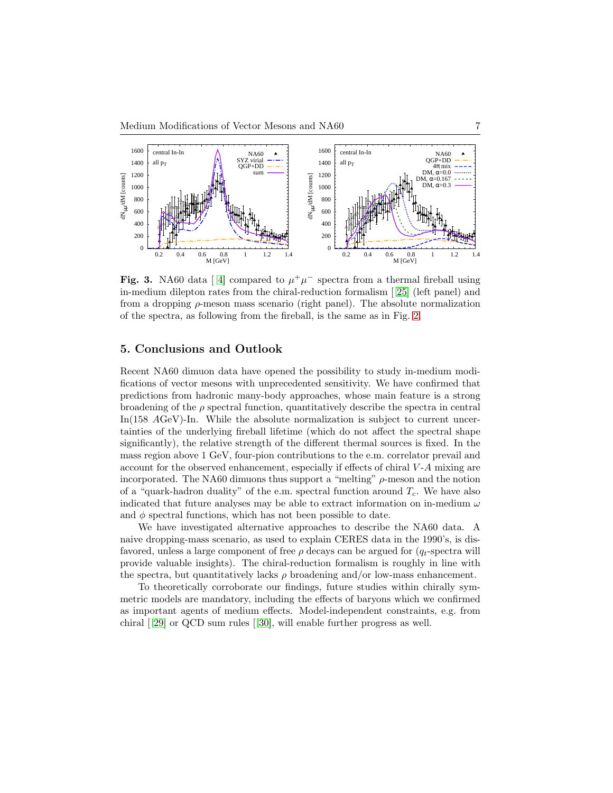

<span id="page-6-0"></span>Fig.3. NA60 data [4] compared to  $\mu^+\mu^-$  spectra from a thermal fireball using in-medium dilepton rates from the chiral-reduction formalism[ [25\]](#page-7-24) (left panel) and from a dropping  $\rho$ -meson mass scenario (right panel). The absolute normalization of the spectra, as following from the fireball, is the same as in Fig. [2.](#page-4-0)

# 5. Conclusions and Outlook

Recent NA60 dimuon data have opened the possibility to study in-medium modifications of vector mesons with unprecedented sensitivity. We have confirmed that predictions from hadronic many-body approaches, whose main feature is a strong broadening of the  $\rho$  spectral function, quantitatively describe the spectra in central In(158 AGeV)-In. While the absolute normalization is subject to current uncertainties of the underlying fireball lifetime (which do not affect the spectral shape significantly), the relative strength of the different thermal sources is fixed. In the mass region above 1 GeV, four-pion contributions to the e.m. correlator prevail and account for the observed enhancement, especially if effects of chiral  $V-A$  mixing are incorporated. The NA60 dimuons thus support a "melting"  $\rho$ -meson and the notion of a "quark-hadron duality" of the e.m. spectral function around  $T_c$ . We have also indicated that future analyses may be able to extract information on in-medium  $\omega$ and  $\phi$  spectral functions, which has not been possible to date.

We have investigated alternative approaches to describe the NA60 data. A naive dropping-mass scenario, as used to explain CERES data in the 1990's, is disfavored, unless a large component of free  $\rho$  decays can be argued for  $(q_t\text{-spectra will})$ provide valuable insights). The chiral-reduction formalism is roughly in line with the spectra, but quantitatively lacks  $\rho$  broadening and/or low-mass enhancement.

To theoretically corroborate our findings, future studies within chirally symmetric models are mandatory, including the effects of baryons which we confirmed as important agents of medium effects. Model-independent constraints, e.g. from chiral[ [29\]](#page-7-28) or QCD sum rules[ [30\]](#page-7-29), will enable further progress as well.